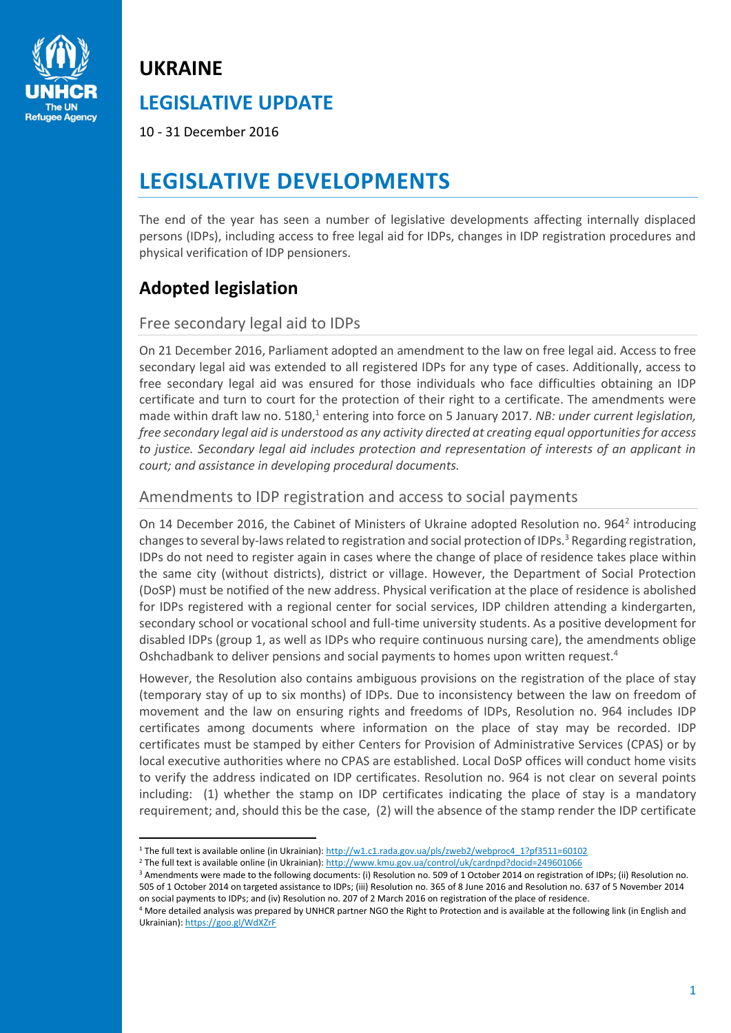

# **UKRAINE LEGISLATIVE UPDATE**

10 - 31 December 2016

## **LEGISLATIVE DEVELOPMENTS**

The end of the year has seen a number of legislative developments affecting internally displaced persons (IDPs), including access to free legal aid for IDPs, changes in IDP registration procedures and physical verification of IDP pensioners.

## **Adopted legislation**

 $\overline{a}$ 

### Free secondary legal aid to IDPs

On 21 December 2016, Parliament adopted an amendment to the law on free legal aid. Access to free secondary legal aid was extended to all registered IDPs for any type of cases. Additionally, access to free secondary legal aid was ensured for those individuals who face difficulties obtaining an IDP certificate and turn to court for the protection of their right to a certificate. The amendments were made within draft law no. 5180,<sup>1</sup> entering into force on 5 January 2017. *NB: under current legislation, free secondary legal aid is understood as any activity directed at creating equal opportunities for access to justice. Secondary legal aid includes protection and representation of interests of an applicant in court; and assistance in developing procedural documents.*

## Amendments to IDP registration and access to social payments

On 14 December 2016, the Cabinet of Ministers of Ukraine adopted Resolution no. 964<sup>2</sup> introducing changes to several by-laws related to registration and social protection of IDPs.<sup>3</sup> Regarding registration, IDPs do not need to register again in cases where the change of place of residence takes place within the same city (without districts), district or village. However, the Department of Social Protection (DoSP) must be notified of the new address. Physical verification at the place of residence is abolished for IDPs registered with a regional center for social services, IDP children attending a kindergarten, secondary school or vocational school and full-time university students. As a positive development for disabled IDPs (group 1, as well as IDPs who require continuous nursing care), the amendments oblige Oshchadbank to deliver pensions and social payments to homes upon written request.<sup>4</sup>

However, the Resolution also contains ambiguous provisions on the registration of the place of stay (temporary stay of up to six months) of IDPs. Due to inconsistency between the law on freedom of movement and the law on ensuring rights and freedoms of IDPs, Resolution no. 964 includes IDP certificates among documents where information on the place of stay may be recorded. IDP certificates must be stamped by either Centers for Provision of Administrative Services (CPAS) or by local executive authorities where no CPAS are established. Local DoSP offices will conduct home visits to verify the address indicated on IDP certificates. Resolution no. 964 is not clear on several points including: (1) whether the stamp on IDP certificates indicating the place of stay is a mandatory requirement; and, should this be the case, (2) will the absence of the stamp render the IDP certificate

<sup>&</sup>lt;sup>1</sup> The full text is available online (in Ukrainian): [http://w1.c1.rada.gov.ua/pls/zweb2/webproc4\\_1?pf3511=60102](http://w1.c1.rada.gov.ua/pls/zweb2/webproc4_1?pf3511=60102)

<sup>&</sup>lt;sup>2</sup> The full text is available online (in Ukrainian): http://www.kmu.gov.ua/control/uk/cardnpd?docid=249601066

<sup>&</sup>lt;sup>3</sup> Amendments were made to the following documents: (i) Resolution no. 509 of 1 October 2014 on registration of IDPs; (ii) Resolution no. 505 of 1 October 2014 on targeted assistance to IDPs; (iii) Resolution no. 365 of 8 June 2016 and Resolution no. 637 of 5 November 2014 on social payments to IDPs; and (iv) Resolution no. 207 of 2 March 2016 on registration of the place of residence.

<sup>4</sup> More detailed analysis was prepared by UNHCR partner NGO the Right to Protection and is available at the following link (in English and Ukrainian)[: https://goo.gl/WdXZrF](https://goo.gl/WdXZrF)